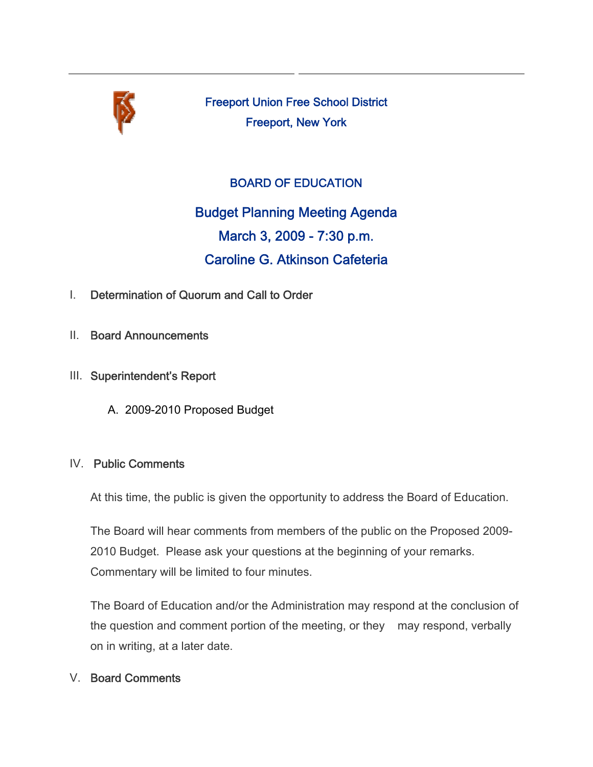

Freeport Union Free School District Freeport, New York

# BOARD OF EDUCATION

Budget Planning Meeting Agenda March 3, 2009 - 7:30 p.m. Caroline G. Atkinson Cafeteria

- I. Determination of Quorum and Call to Order
- II. Board Announcements
- III. Superintendent's Report
	- A. 2009-2010 Proposed Budget

### IV. Public Comments

At this time, the public is given the opportunity to address the Board of Education.

The Board will hear comments from members of the public on the Proposed 2009- 2010 Budget. Please ask your questions at the beginning of your remarks. Commentary will be limited to four minutes.

The Board of Education and/or the Administration may respond at the conclusion of the question and comment portion of the meeting, or they may respond, verbally on in writing, at a later date.

# V. Board Comments